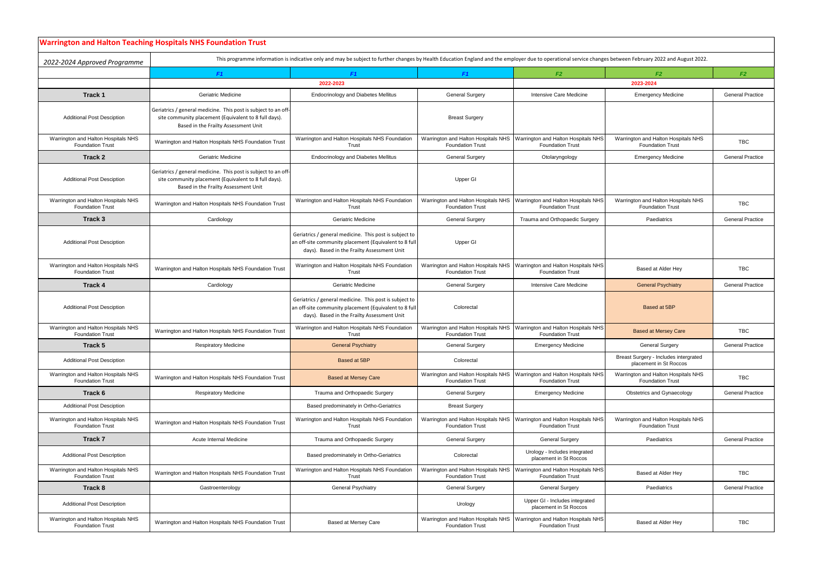| <b>Warrington and Halton Teaching Hospitals NHS Foundation Trust</b>                                                                                                                                                                       |                                                                                                                                                                 |                                                                                                                                                                |                                                                |                                                                |                                                                 |                         |  |  |  |  |
|--------------------------------------------------------------------------------------------------------------------------------------------------------------------------------------------------------------------------------------------|-----------------------------------------------------------------------------------------------------------------------------------------------------------------|----------------------------------------------------------------------------------------------------------------------------------------------------------------|----------------------------------------------------------------|----------------------------------------------------------------|-----------------------------------------------------------------|-------------------------|--|--|--|--|
| This programme information is indicative only and may be subject to further changes by Health Education England and the employer due to operational service changes between February 2022 and August 2022.<br>2022-2024 Approved Programme |                                                                                                                                                                 |                                                                                                                                                                |                                                                |                                                                |                                                                 |                         |  |  |  |  |
|                                                                                                                                                                                                                                            | F <sub>1</sub>                                                                                                                                                  | F1                                                                                                                                                             | F1                                                             | F2                                                             | F2                                                              | F2                      |  |  |  |  |
|                                                                                                                                                                                                                                            | 2023-2024<br>2022-2023                                                                                                                                          |                                                                                                                                                                |                                                                |                                                                |                                                                 |                         |  |  |  |  |
| Track 1                                                                                                                                                                                                                                    | Geriatric Medicine                                                                                                                                              | <b>Endocrinology and Diabetes Mellitus</b>                                                                                                                     | <b>General Surgery</b>                                         | Intensive Care Medicine                                        | <b>Emergency Medicine</b>                                       | <b>General Practice</b> |  |  |  |  |
| <b>Additional Post Desciption</b>                                                                                                                                                                                                          | Geriatrics / general medicine. This post is subject to an off-<br>site community placement (Equivalent to 8 full days).<br>Based in the Frailty Assessment Unit |                                                                                                                                                                | <b>Breast Surgery</b>                                          |                                                                |                                                                 |                         |  |  |  |  |
| Warrington and Halton Hospitals NHS<br><b>Foundation Trust</b>                                                                                                                                                                             | Warrington and Halton Hospitals NHS Foundation Trust                                                                                                            | Warrington and Halton Hospitals NHS Foundation<br>Trust                                                                                                        | Warrington and Halton Hospitals NHS<br><b>Foundation Trust</b> | Warrington and Halton Hospitals NHS<br><b>Foundation Trust</b> | Warrington and Halton Hospitals NHS<br><b>Foundation Trust</b>  | <b>TBC</b>              |  |  |  |  |
| Track 2                                                                                                                                                                                                                                    | Geriatric Medicine                                                                                                                                              | <b>Endocrinology and Diabetes Mellitus</b>                                                                                                                     | <b>General Surgery</b>                                         | Otolaryngology                                                 | <b>Emergency Medicine</b>                                       | <b>General Practice</b> |  |  |  |  |
| <b>Additional Post Desciption</b>                                                                                                                                                                                                          | Geriatrics / general medicine. This post is subject to an off-<br>site community placement (Equivalent to 8 full days).<br>Based in the Frailty Assessment Unit |                                                                                                                                                                | Upper GI                                                       |                                                                |                                                                 |                         |  |  |  |  |
| Warrington and Halton Hospitals NHS<br><b>Foundation Trust</b>                                                                                                                                                                             | Warrington and Halton Hospitals NHS Foundation Trust                                                                                                            | Warrington and Halton Hospitals NHS Foundation<br>Trust                                                                                                        | Warrington and Halton Hospitals NHS<br><b>Foundation Trust</b> | Warrington and Halton Hospitals NHS<br><b>Foundation Trust</b> | Warrington and Halton Hospitals NHS<br><b>Foundation Trust</b>  | <b>TBC</b>              |  |  |  |  |
| Track 3                                                                                                                                                                                                                                    | Cardiology                                                                                                                                                      | <b>Geriatric Medicine</b>                                                                                                                                      | <b>General Surgery</b>                                         | Trauma and Orthopaedic Surgery                                 | Paediatrics                                                     | <b>General Practice</b> |  |  |  |  |
| <b>Additional Post Desciption</b>                                                                                                                                                                                                          |                                                                                                                                                                 | Geriatrics / general medicine. This post is subject to<br>an off-site community placement (Equivalent to 8 full<br>days). Based in the Frailty Assessment Unit | Upper GI                                                       |                                                                |                                                                 |                         |  |  |  |  |
| Warrington and Halton Hospitals NHS<br><b>Foundation Trust</b>                                                                                                                                                                             | Warrington and Halton Hospitals NHS Foundation Trust                                                                                                            | Warrington and Halton Hospitals NHS Foundation<br>Trust                                                                                                        | Warrington and Halton Hospitals NHS<br><b>Foundation Trust</b> | Warrington and Halton Hospitals NHS<br><b>Foundation Trust</b> | Based at Alder Hey                                              | <b>TBC</b>              |  |  |  |  |
| <b>Track 4</b>                                                                                                                                                                                                                             | Cardiology                                                                                                                                                      | Geriatric Medicine                                                                                                                                             | <b>General Surgery</b>                                         | Intensive Care Medicine                                        | <b>General Psychiatry</b>                                       | <b>General Practice</b> |  |  |  |  |
| <b>Additional Post Desciption</b>                                                                                                                                                                                                          |                                                                                                                                                                 | Geriatrics / general medicine. This post is subject to<br>an off-site community placement (Equivalent to 8 full<br>days). Based in the Frailty Assessment Unit | Colorectal                                                     |                                                                | Based at 5BP                                                    |                         |  |  |  |  |
| Warrington and Halton Hospitals NHS<br><b>Foundation Trust</b>                                                                                                                                                                             | Warrington and Halton Hospitals NHS Foundation Trust                                                                                                            | Warrington and Halton Hospitals NHS Foundation<br>Trust                                                                                                        | Warrington and Halton Hospitals NHS<br><b>Foundation Trust</b> | Warrington and Halton Hospitals NHS<br><b>Foundation Trust</b> | <b>Based at Mersey Care</b>                                     | <b>TBC</b>              |  |  |  |  |
| Track 5                                                                                                                                                                                                                                    | <b>Respiratory Medicine</b>                                                                                                                                     | General Psychiatry                                                                                                                                             | <b>General Surgery</b>                                         | <b>Emergency Medicine</b>                                      | <b>General Surgery</b>                                          | <b>General Practice</b> |  |  |  |  |
| <b>Additional Post Desciption</b>                                                                                                                                                                                                          |                                                                                                                                                                 | Based at 5BP                                                                                                                                                   | Colorectal                                                     |                                                                | Breast Surgery - Includes intergrated<br>placement in St Roccos |                         |  |  |  |  |
| Warrington and Halton Hospitals NHS<br><b>Foundation Trust</b>                                                                                                                                                                             | Warrington and Halton Hospitals NHS Foundation Trust                                                                                                            | <b>Based at Mersey Care</b>                                                                                                                                    | Warrington and Halton Hospitals NHS<br><b>Foundation Trust</b> | Warrington and Halton Hospitals NHS<br><b>Foundation Trust</b> | Warrington and Halton Hospitals NHS<br><b>Foundation Trust</b>  | <b>TBC</b>              |  |  |  |  |
| Track 6                                                                                                                                                                                                                                    | <b>Respiratory Medicine</b>                                                                                                                                     | Trauma and Orthopaedic Surgery                                                                                                                                 | <b>General Surgery</b>                                         | <b>Emergency Medicine</b>                                      | Obstetrics and Gynaecology                                      | <b>General Practice</b> |  |  |  |  |
| <b>Additional Post Desciption</b>                                                                                                                                                                                                          |                                                                                                                                                                 | Based predominately in Ortho-Geriatrics                                                                                                                        | <b>Breast Surgery</b>                                          |                                                                |                                                                 |                         |  |  |  |  |
| Warrington and Halton Hospitals NHS<br><b>Foundation Trust</b>                                                                                                                                                                             | Warrington and Halton Hospitals NHS Foundation Trust                                                                                                            | Warrington and Halton Hospitals NHS Foundation<br>Trust                                                                                                        | Warrington and Halton Hospitals NHS<br><b>Foundation Trust</b> | Warrington and Halton Hospitals NHS<br><b>Foundation Trust</b> | Warrington and Halton Hospitals NHS<br><b>Foundation Trust</b>  |                         |  |  |  |  |
| Track 7                                                                                                                                                                                                                                    | Acute Internal Medicine                                                                                                                                         | Trauma and Orthopaedic Surgery                                                                                                                                 | <b>General Surgery</b>                                         | <b>General Surgery</b>                                         | Paediatrics                                                     | <b>General Practice</b> |  |  |  |  |
| <b>Additional Post Description</b>                                                                                                                                                                                                         |                                                                                                                                                                 | Based predominately in Ortho-Geriatrics                                                                                                                        | Colorectal                                                     | Urology - Includes integrated<br>placement in St Roccos        |                                                                 |                         |  |  |  |  |
| Warrington and Halton Hospitals NHS<br><b>Foundation Trust</b>                                                                                                                                                                             | Warrington and Halton Hospitals NHS Foundation Trust                                                                                                            | Warrington and Halton Hospitals NHS Foundation<br>Trust                                                                                                        | Warrington and Halton Hospitals NHS<br><b>Foundation Trust</b> | Warrington and Halton Hospitals NHS<br><b>Foundation Trust</b> | Based at Alder Hey                                              | <b>TBC</b>              |  |  |  |  |
| Track 8                                                                                                                                                                                                                                    | Gastroenterology                                                                                                                                                | <b>General Psychiatry</b>                                                                                                                                      | <b>General Surgery</b>                                         | <b>General Surgery</b>                                         | Paediatrics                                                     | <b>General Practice</b> |  |  |  |  |
| <b>Additional Post Description</b>                                                                                                                                                                                                         |                                                                                                                                                                 |                                                                                                                                                                | Urology                                                        | Upper GI - Includes integrated<br>placement in St Roccos       |                                                                 |                         |  |  |  |  |
| Warrington and Halton Hospitals NHS<br><b>Foundation Trust</b>                                                                                                                                                                             | Warrington and Halton Hospitals NHS Foundation Trust                                                                                                            | Based at Mersey Care                                                                                                                                           | Warrington and Halton Hospitals NHS<br><b>Foundation Trust</b> | Warrington and Halton Hospitals NHS<br><b>Foundation Trust</b> | Based at Alder Hey                                              | TBC                     |  |  |  |  |